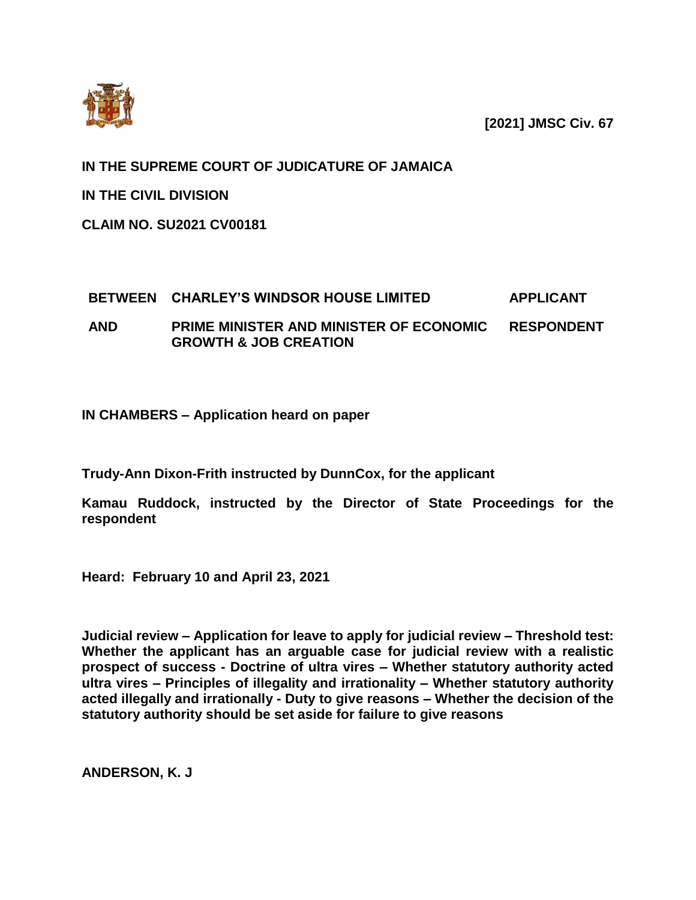

**[2021] JMSC Civ. 67** 

**IN THE SUPREME COURT OF JUDICATURE OF JAMAICA**

**IN THE CIVIL DIVISION**

**CLAIM NO. SU2021 CV00181**

# **BETWEEN CHARLEY'S WINDSOR HOUSE LIMITED APPLICANT**

**AND PRIME MINISTER AND MINISTER OF ECONOMIC GROWTH & JOB CREATION RESPONDENT**

**IN CHAMBERS – Application heard on paper**

**Trudy-Ann Dixon-Frith instructed by DunnCox, for the applicant**

**Kamau Ruddock, instructed by the Director of State Proceedings for the respondent**

**Heard: February 10 and April 23, 2021**

**Judicial review – Application for leave to apply for judicial review – Threshold test: Whether the applicant has an arguable case for judicial review with a realistic prospect of success - Doctrine of ultra vires – Whether statutory authority acted ultra vires – Principles of illegality and irrationality – Whether statutory authority acted illegally and irrationally - Duty to give reasons – Whether the decision of the statutory authority should be set aside for failure to give reasons**

**ANDERSON, K. J**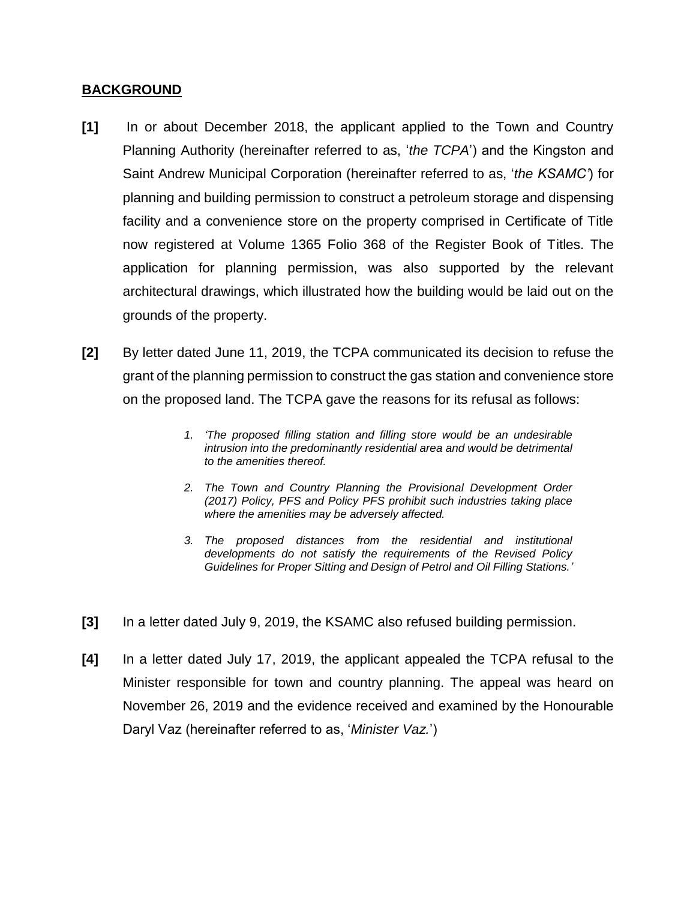#### **BACKGROUND**

- **[1]** In or about December 2018, the applicant applied to the Town and Country Planning Authority (hereinafter referred to as, '*the TCPA*') and the Kingston and Saint Andrew Municipal Corporation (hereinafter referred to as, '*the KSAMC'*) for planning and building permission to construct a petroleum storage and dispensing facility and a convenience store on the property comprised in Certificate of Title now registered at Volume 1365 Folio 368 of the Register Book of Titles. The application for planning permission, was also supported by the relevant architectural drawings, which illustrated how the building would be laid out on the grounds of the property.
- **[2]** By letter dated June 11, 2019, the TCPA communicated its decision to refuse the grant of the planning permission to construct the gas station and convenience store on the proposed land. The TCPA gave the reasons for its refusal as follows:
	- *1. 'The proposed filling station and filling store would be an undesirable intrusion into the predominantly residential area and would be detrimental to the amenities thereof.*
	- *2. The Town and Country Planning the Provisional Development Order (2017) Policy, PFS and Policy PFS prohibit such industries taking place where the amenities may be adversely affected.*
	- *3. The proposed distances from the residential and institutional developments do not satisfy the requirements of the Revised Policy Guidelines for Proper Sitting and Design of Petrol and Oil Filling Stations.'*
- **[3]** In a letter dated July 9, 2019, the KSAMC also refused building permission.
- **[4]** In a letter dated July 17, 2019, the applicant appealed the TCPA refusal to the Minister responsible for town and country planning. The appeal was heard on November 26, 2019 and the evidence received and examined by the Honourable Daryl Vaz (hereinafter referred to as, '*Minister Vaz.*')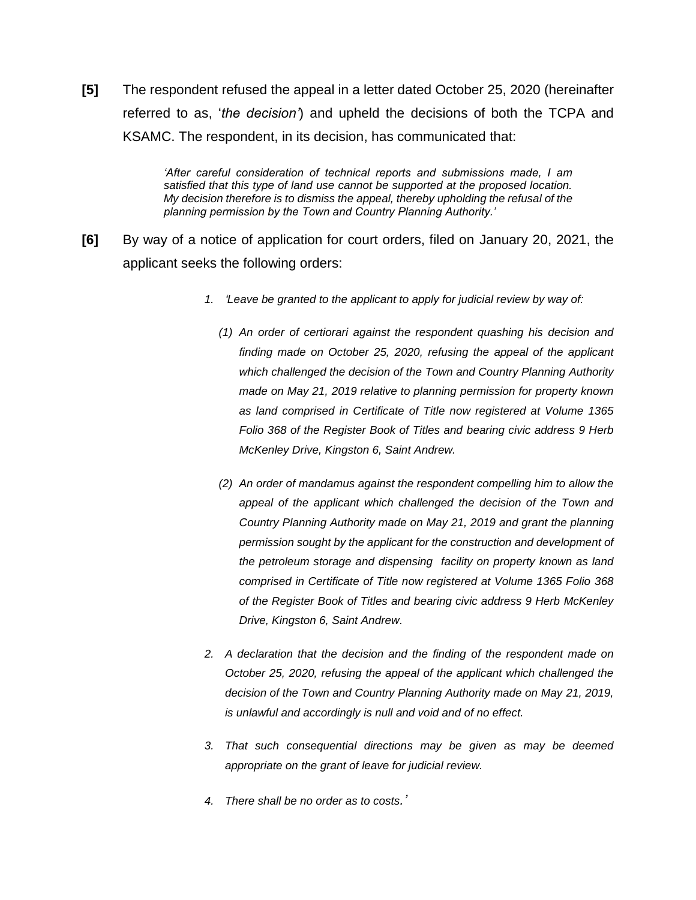**[5]** The respondent refused the appeal in a letter dated October 25, 2020 (hereinafter referred to as, '*the decision'*) and upheld the decisions of both the TCPA and KSAMC. The respondent, in its decision, has communicated that:

> *'After careful consideration of technical reports and submissions made, I am satisfied that this type of land use cannot be supported at the proposed location. My decision therefore is to dismiss the appeal, thereby upholding the refusal of the planning permission by the Town and Country Planning Authority.'*

- **[6]** By way of a notice of application for court orders, filed on January 20, 2021, the applicant seeks the following orders:
	- *1. 'Leave be granted to the applicant to apply for judicial review by way of:*
		- *(1) An order of certiorari against the respondent quashing his decision and finding made on October 25, 2020, refusing the appeal of the applicant which challenged the decision of the Town and Country Planning Authority made on May 21, 2019 relative to planning permission for property known as land comprised in Certificate of Title now registered at Volume 1365 Folio 368 of the Register Book of Titles and bearing civic address 9 Herb McKenley Drive, Kingston 6, Saint Andrew.*
		- *(2) An order of mandamus against the respondent compelling him to allow the appeal of the applicant which challenged the decision of the Town and Country Planning Authority made on May 21, 2019 and grant the planning permission sought by the applicant for the construction and development of the petroleum storage and dispensing facility on property known as land comprised in Certificate of Title now registered at Volume 1365 Folio 368 of the Register Book of Titles and bearing civic address 9 Herb McKenley Drive, Kingston 6, Saint Andrew.*
	- *2. A declaration that the decision and the finding of the respondent made on October 25, 2020, refusing the appeal of the applicant which challenged the decision of the Town and Country Planning Authority made on May 21, 2019, is unlawful and accordingly is null and void and of no effect.*
	- *3. That such consequential directions may be given as may be deemed appropriate on the grant of leave for judicial review.*
	- *4. There shall be no order as to costs.'*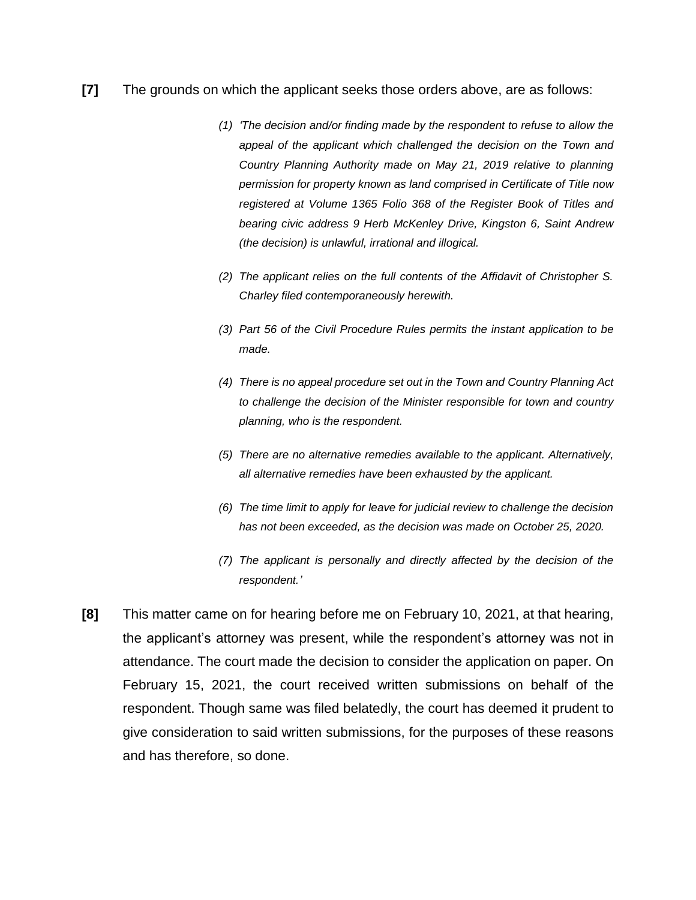#### **[7]** The grounds on which the applicant seeks those orders above, are as follows:

- *(1) 'The decision and/or finding made by the respondent to refuse to allow the appeal of the applicant which challenged the decision on the Town and Country Planning Authority made on May 21, 2019 relative to planning permission for property known as land comprised in Certificate of Title now registered at Volume 1365 Folio 368 of the Register Book of Titles and bearing civic address 9 Herb McKenley Drive, Kingston 6, Saint Andrew (the decision) is unlawful, irrational and illogical.*
- *(2) The applicant relies on the full contents of the Affidavit of Christopher S. Charley filed contemporaneously herewith.*
- *(3) Part 56 of the Civil Procedure Rules permits the instant application to be made.*
- *(4) There is no appeal procedure set out in the Town and Country Planning Act to challenge the decision of the Minister responsible for town and country planning, who is the respondent.*
- *(5) There are no alternative remedies available to the applicant. Alternatively, all alternative remedies have been exhausted by the applicant.*
- *(6) The time limit to apply for leave for judicial review to challenge the decision has not been exceeded, as the decision was made on October 25, 2020.*
- *(7) The applicant is personally and directly affected by the decision of the respondent.'*
- **[8]** This matter came on for hearing before me on February 10, 2021, at that hearing, the applicant's attorney was present, while the respondent's attorney was not in attendance. The court made the decision to consider the application on paper. On February 15, 2021, the court received written submissions on behalf of the respondent. Though same was filed belatedly, the court has deemed it prudent to give consideration to said written submissions, for the purposes of these reasons and has therefore, so done.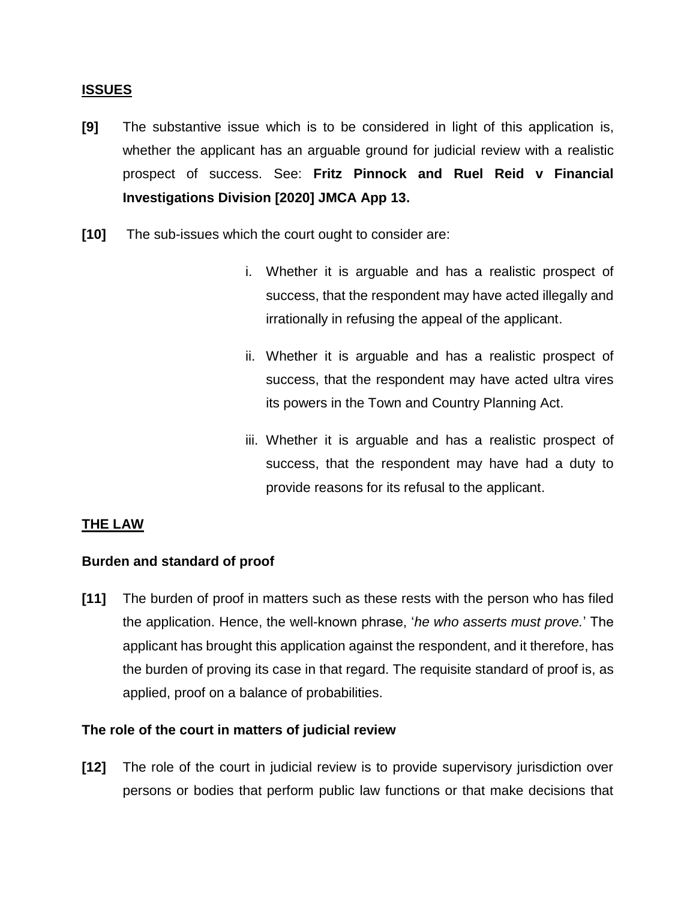#### **ISSUES**

- **[9]** The substantive issue which is to be considered in light of this application is, whether the applicant has an arguable ground for judicial review with a realistic prospect of success. See: **Fritz Pinnock and Ruel Reid v Financial Investigations Division [2020] JMCA App 13.**
- **[10]** The sub-issues which the court ought to consider are:
	- i. Whether it is arguable and has a realistic prospect of success, that the respondent may have acted illegally and irrationally in refusing the appeal of the applicant.
	- ii. Whether it is arguable and has a realistic prospect of success, that the respondent may have acted ultra vires its powers in the Town and Country Planning Act.
	- iii. Whether it is arguable and has a realistic prospect of success, that the respondent may have had a duty to provide reasons for its refusal to the applicant.

## **THE LAW**

#### **Burden and standard of proof**

**[11]** The burden of proof in matters such as these rests with the person who has filed the application. Hence, the well-known phrase, '*he who asserts must prove.*' The applicant has brought this application against the respondent, and it therefore, has the burden of proving its case in that regard. The requisite standard of proof is, as applied, proof on a balance of probabilities.

#### **The role of the court in matters of judicial review**

**[12]** The role of the court in judicial review is to provide supervisory jurisdiction over persons or bodies that perform public law functions or that make decisions that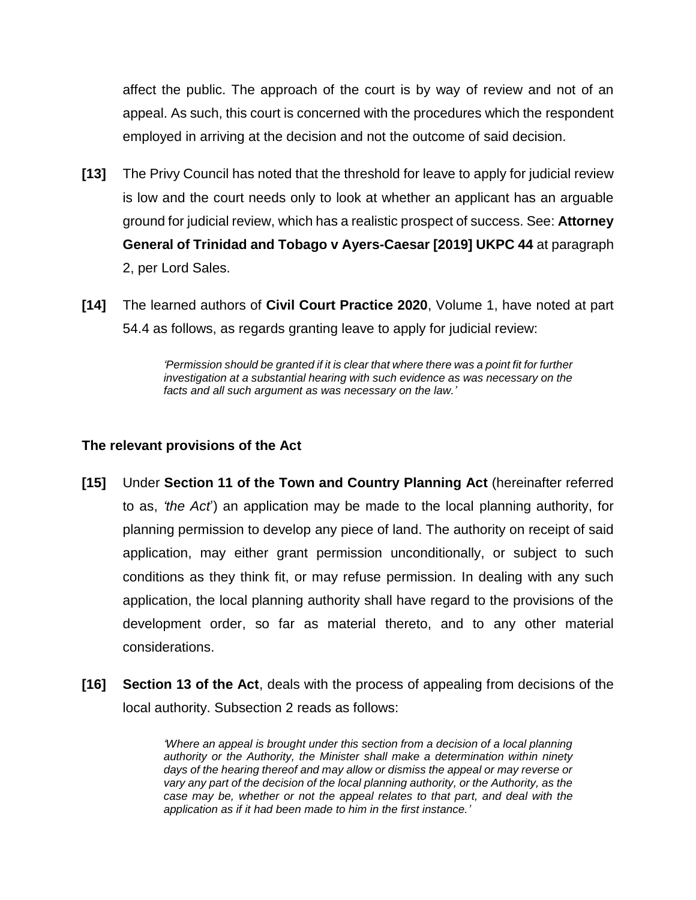affect the public. The approach of the court is by way of review and not of an appeal. As such, this court is concerned with the procedures which the respondent employed in arriving at the decision and not the outcome of said decision.

- **[13]** The Privy Council has noted that the threshold for leave to apply for judicial review is low and the court needs only to look at whether an applicant has an arguable ground for judicial review, which has a realistic prospect of success. See: **Attorney General of Trinidad and Tobago v Ayers-Caesar [2019] UKPC 44** at paragraph 2, per Lord Sales.
- **[14]** The learned authors of **Civil Court Practice 2020**, Volume 1, have noted at part 54.4 as follows, as regards granting leave to apply for judicial review:

*'Permission should be granted if it is clear that where there was a point fit for further investigation at a substantial hearing with such evidence as was necessary on the facts and all such argument as was necessary on the law.'*

# **The relevant provisions of the Act**

- **[15]** Under **Section 11 of the Town and Country Planning Act** (hereinafter referred to as, *'the Act*') an application may be made to the local planning authority, for planning permission to develop any piece of land. The authority on receipt of said application, may either grant permission unconditionally, or subject to such conditions as they think fit, or may refuse permission. In dealing with any such application, the local planning authority shall have regard to the provisions of the development order, so far as material thereto, and to any other material considerations.
- **[16] Section 13 of the Act**, deals with the process of appealing from decisions of the local authority. Subsection 2 reads as follows:

*'Where an appeal is brought under this section from a decision of a local planning authority or the Authority, the Minister shall make a determination within ninety days of the hearing thereof and may allow or dismiss the appeal or may reverse or vary any part of the decision of the local planning authority, or the Authority, as the case may be, whether or not the appeal relates to that part, and deal with the application as if it had been made to him in the first instance.'*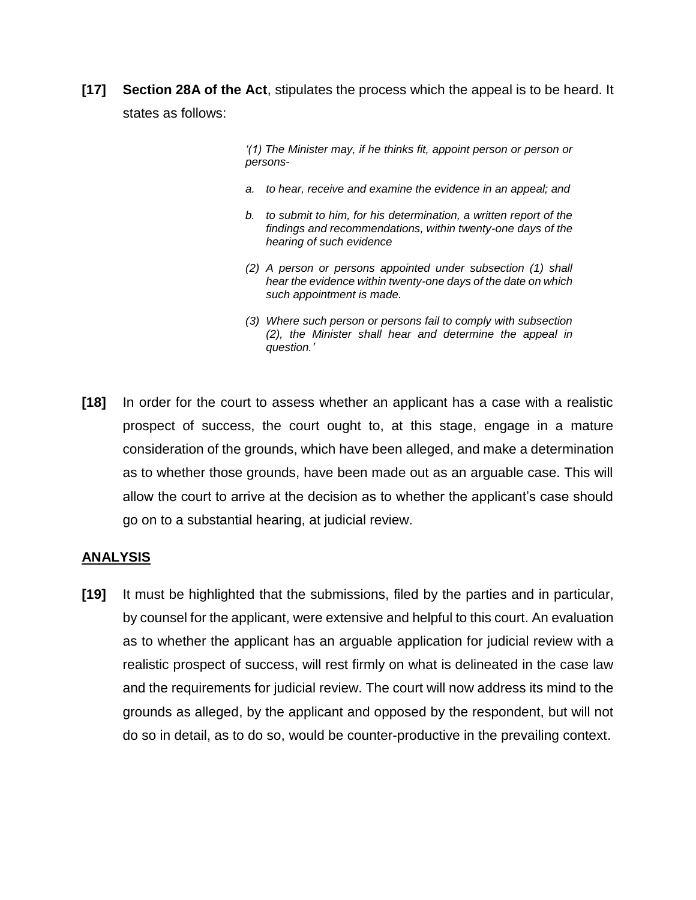**[17] Section 28A of the Act**, stipulates the process which the appeal is to be heard. It states as follows:

> *'(1) The Minister may, if he thinks fit, appoint person or person or persons-*

- *a. to hear, receive and examine the evidence in an appeal; and*
- *b. to submit to him, for his determination, a written report of the findings and recommendations, within twenty-one days of the hearing of such evidence*
- *(2) A person or persons appointed under subsection (1) shall hear the evidence within twenty-one days of the date on which such appointment is made.*
- *(3) Where such person or persons fail to comply with subsection (2), the Minister shall hear and determine the appeal in question.'*
- **[18]** In order for the court to assess whether an applicant has a case with a realistic prospect of success, the court ought to, at this stage, engage in a mature consideration of the grounds, which have been alleged, and make a determination as to whether those grounds, have been made out as an arguable case. This will allow the court to arrive at the decision as to whether the applicant's case should go on to a substantial hearing, at judicial review.

## **ANALYSIS**

**[19]** It must be highlighted that the submissions, filed by the parties and in particular, by counsel for the applicant, were extensive and helpful to this court. An evaluation as to whether the applicant has an arguable application for judicial review with a realistic prospect of success, will rest firmly on what is delineated in the case law and the requirements for judicial review. The court will now address its mind to the grounds as alleged, by the applicant and opposed by the respondent, but will not do so in detail, as to do so, would be counter-productive in the prevailing context.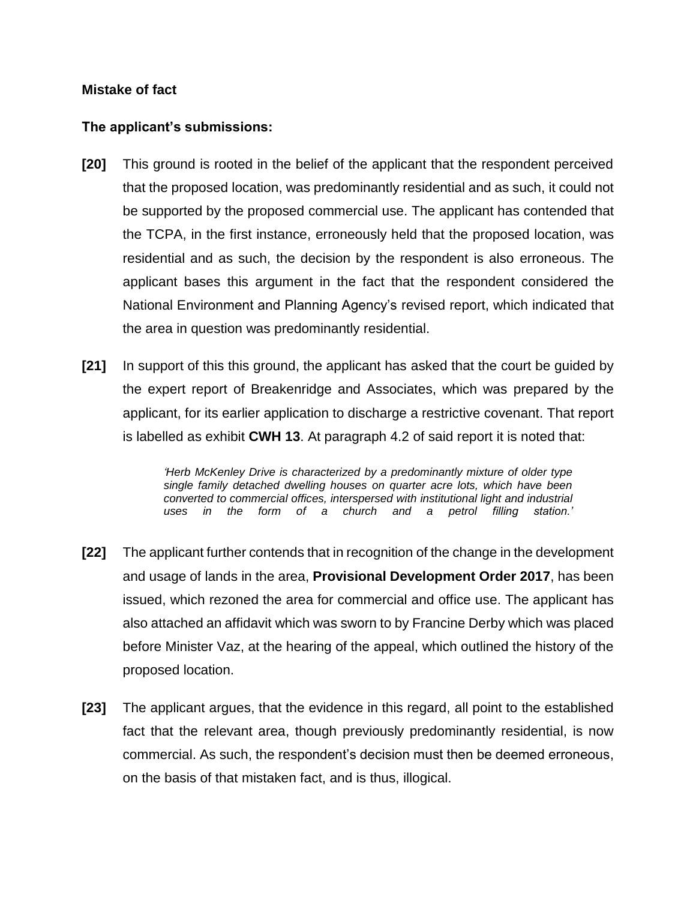## **Mistake of fact**

# **The applicant's submissions:**

- **[20]** This ground is rooted in the belief of the applicant that the respondent perceived that the proposed location, was predominantly residential and as such, it could not be supported by the proposed commercial use. The applicant has contended that the TCPA, in the first instance, erroneously held that the proposed location, was residential and as such, the decision by the respondent is also erroneous. The applicant bases this argument in the fact that the respondent considered the National Environment and Planning Agency's revised report, which indicated that the area in question was predominantly residential.
- **[21]** In support of this this ground, the applicant has asked that the court be guided by the expert report of Breakenridge and Associates, which was prepared by the applicant, for its earlier application to discharge a restrictive covenant. That report is labelled as exhibit **CWH 13**. At paragraph 4.2 of said report it is noted that:

*'Herb McKenley Drive is characterized by a predominantly mixture of older type single family detached dwelling houses on quarter acre lots, which have been converted to commercial offices, interspersed with institutional light and industrial uses in the form of a church and a petrol filling station.'*

- **[22]** The applicant further contends that in recognition of the change in the development and usage of lands in the area, **Provisional Development Order 2017**, has been issued, which rezoned the area for commercial and office use. The applicant has also attached an affidavit which was sworn to by Francine Derby which was placed before Minister Vaz, at the hearing of the appeal, which outlined the history of the proposed location.
- **[23]** The applicant argues, that the evidence in this regard, all point to the established fact that the relevant area, though previously predominantly residential, is now commercial. As such, the respondent's decision must then be deemed erroneous, on the basis of that mistaken fact, and is thus, illogical.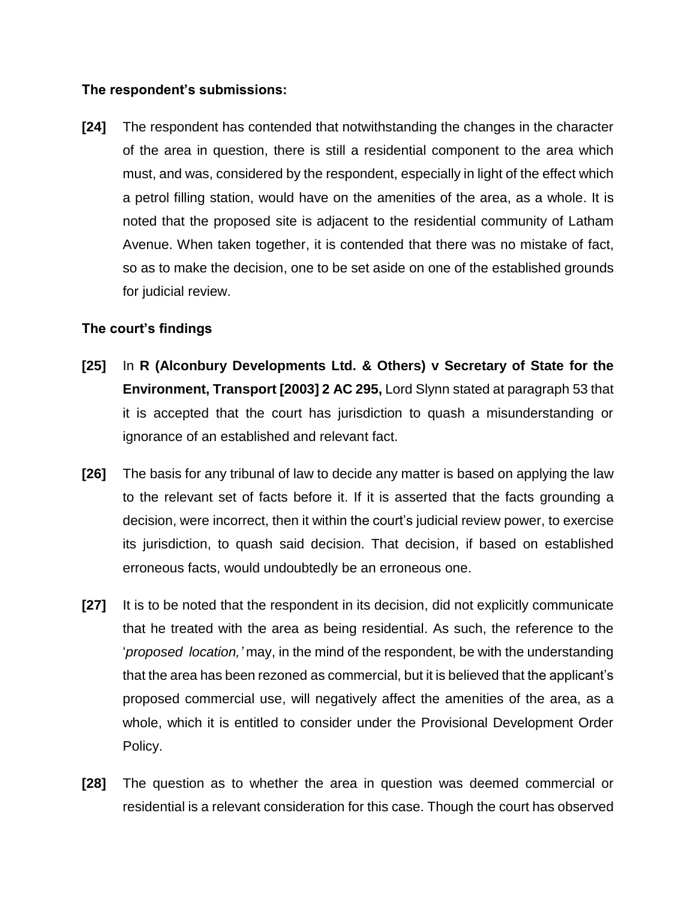## **The respondent's submissions:**

**[24]** The respondent has contended that notwithstanding the changes in the character of the area in question, there is still a residential component to the area which must, and was, considered by the respondent, especially in light of the effect which a petrol filling station, would have on the amenities of the area, as a whole. It is noted that the proposed site is adjacent to the residential community of Latham Avenue. When taken together, it is contended that there was no mistake of fact, so as to make the decision, one to be set aside on one of the established grounds for judicial review.

# **The court's findings**

- **[25]** In **R (Alconbury Developments Ltd. & Others) v Secretary of State for the Environment, Transport [2003] 2 AC 295,** Lord Slynn stated at paragraph 53 that it is accepted that the court has jurisdiction to quash a misunderstanding or ignorance of an established and relevant fact.
- **[26]** The basis for any tribunal of law to decide any matter is based on applying the law to the relevant set of facts before it. If it is asserted that the facts grounding a decision, were incorrect, then it within the court's judicial review power, to exercise its jurisdiction, to quash said decision. That decision, if based on established erroneous facts, would undoubtedly be an erroneous one.
- **[27]** It is to be noted that the respondent in its decision, did not explicitly communicate that he treated with the area as being residential. As such, the reference to the '*proposed location,'* may, in the mind of the respondent, be with the understanding that the area has been rezoned as commercial, but it is believed that the applicant's proposed commercial use, will negatively affect the amenities of the area, as a whole, which it is entitled to consider under the Provisional Development Order Policy.
- **[28]** The question as to whether the area in question was deemed commercial or residential is a relevant consideration for this case. Though the court has observed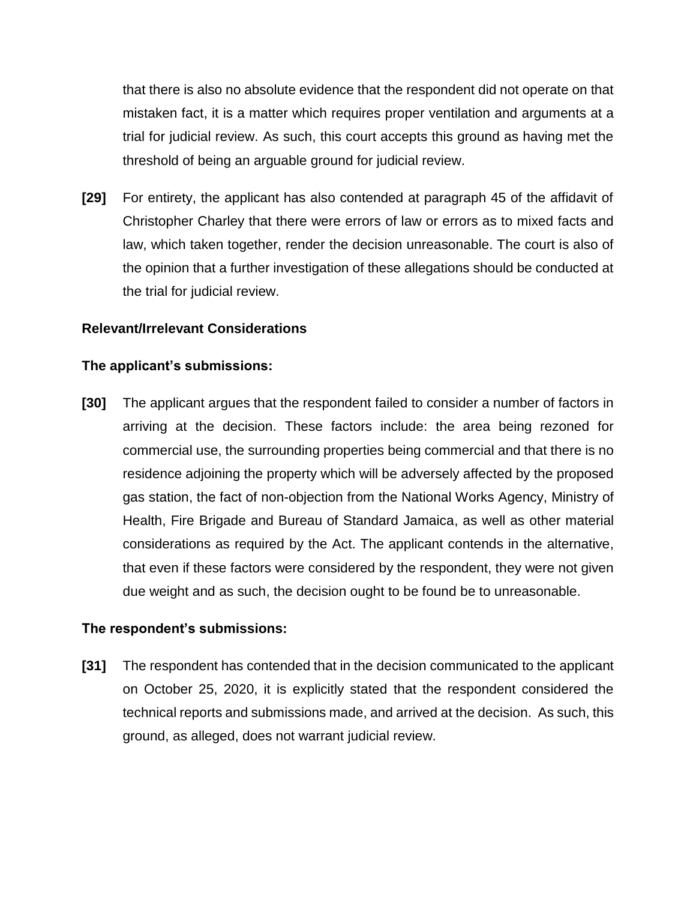that there is also no absolute evidence that the respondent did not operate on that mistaken fact, it is a matter which requires proper ventilation and arguments at a trial for judicial review. As such, this court accepts this ground as having met the threshold of being an arguable ground for judicial review.

**[29]** For entirety, the applicant has also contended at paragraph 45 of the affidavit of Christopher Charley that there were errors of law or errors as to mixed facts and law, which taken together, render the decision unreasonable. The court is also of the opinion that a further investigation of these allegations should be conducted at the trial for judicial review.

## **Relevant/Irrelevant Considerations**

## **The applicant's submissions:**

**[30]** The applicant argues that the respondent failed to consider a number of factors in arriving at the decision. These factors include: the area being rezoned for commercial use, the surrounding properties being commercial and that there is no residence adjoining the property which will be adversely affected by the proposed gas station, the fact of non-objection from the National Works Agency, Ministry of Health, Fire Brigade and Bureau of Standard Jamaica, as well as other material considerations as required by the Act. The applicant contends in the alternative, that even if these factors were considered by the respondent, they were not given due weight and as such, the decision ought to be found be to unreasonable.

## **The respondent's submissions:**

**[31]** The respondent has contended that in the decision communicated to the applicant on October 25, 2020, it is explicitly stated that the respondent considered the technical reports and submissions made, and arrived at the decision. As such, this ground, as alleged, does not warrant judicial review.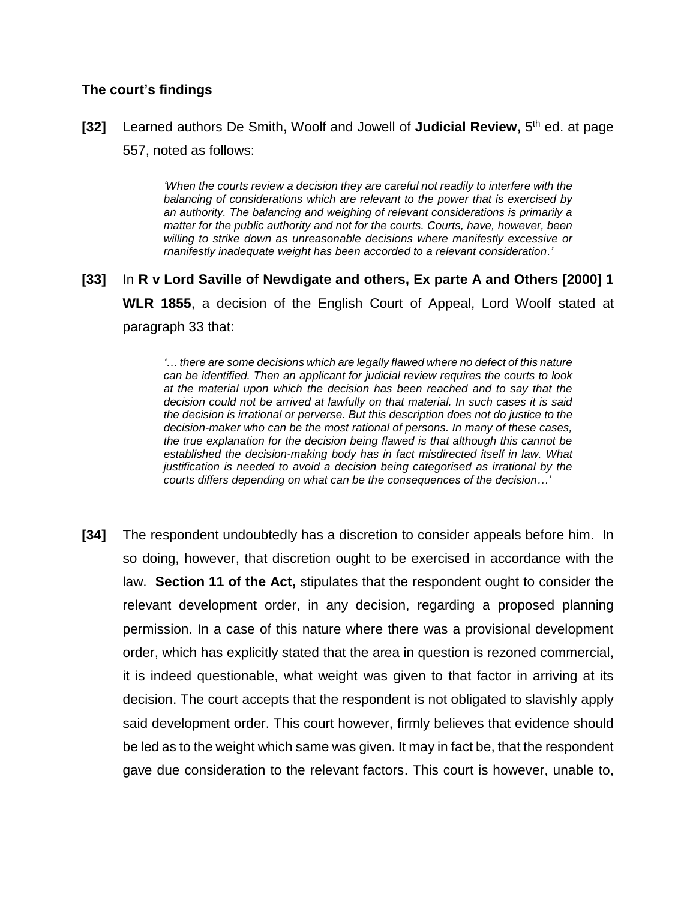#### **The court's findings**

[32] Learned authors De Smith, Woolf and Jowell of Judicial Review, 5<sup>th</sup> ed. at page 557, noted as follows:

> *'When the courts review a decision they are careful not readily to interfere with the balancing of considerations which are relevant to the power that is exercised by an authority. The balancing and weighing of relevant considerations is primarily a matter for the public authority and not for the courts. Courts, have, however, been* willing to strike down as unreasonable decisions where manifestly excessive or *rnanifestly inadequate weight has been accorded to a relevant consideration.'*

**[33]** In **R v Lord Saville of Newdigate and others, Ex parte A and Others [2000] 1 WLR 1855**, a decision of the English Court of Appeal, Lord Woolf stated at paragraph 33 that:

> *'… there are some decisions which are legally flawed where no defect of this nature can be identified. Then an applicant for judicial review requires the courts to look at the material upon which the decision has been reached and to say that the decision could not be arrived at lawfully on that material. In such cases it is said the decision is irrational or perverse. But this description does not do justice to the decision-maker who can be the most rational of persons. In many of these cases, the true explanation for the decision being flawed is that although this cannot be established the decision-making body has in fact misdirected itself in law. What justification is needed to avoid a decision being categorised as irrational by the courts differs depending on what can be the consequences of the decision…'*

**[34]** The respondent undoubtedly has a discretion to consider appeals before him. In so doing, however, that discretion ought to be exercised in accordance with the law. **Section 11 of the Act,** stipulates that the respondent ought to consider the relevant development order, in any decision, regarding a proposed planning permission. In a case of this nature where there was a provisional development order, which has explicitly stated that the area in question is rezoned commercial, it is indeed questionable, what weight was given to that factor in arriving at its decision. The court accepts that the respondent is not obligated to slavishly apply said development order. This court however, firmly believes that evidence should be led as to the weight which same was given. It may in fact be, that the respondent gave due consideration to the relevant factors. This court is however, unable to,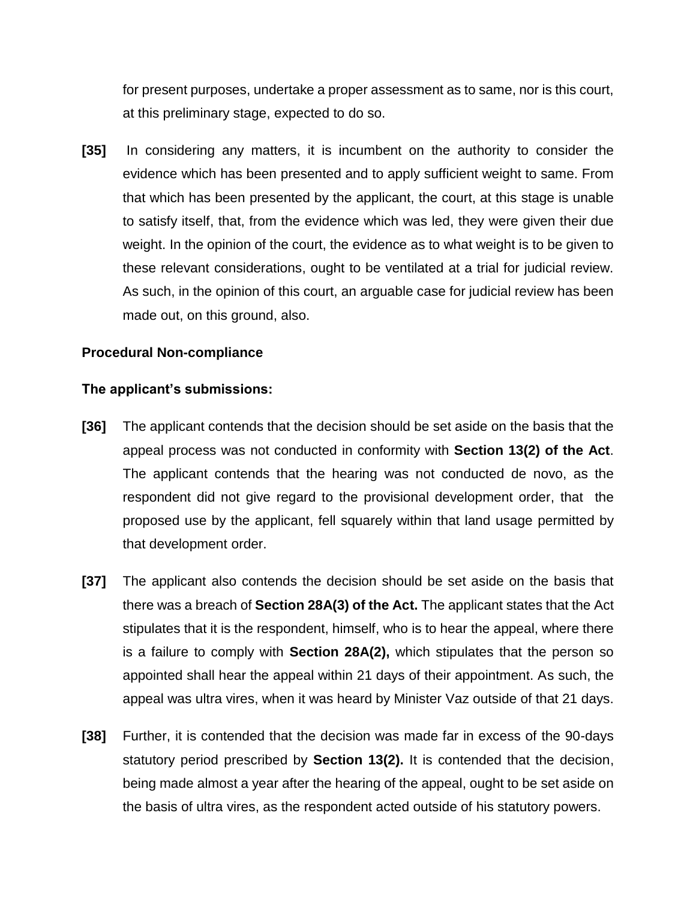for present purposes, undertake a proper assessment as to same, nor is this court, at this preliminary stage, expected to do so.

**[35]** In considering any matters, it is incumbent on the authority to consider the evidence which has been presented and to apply sufficient weight to same. From that which has been presented by the applicant, the court, at this stage is unable to satisfy itself, that, from the evidence which was led, they were given their due weight. In the opinion of the court, the evidence as to what weight is to be given to these relevant considerations, ought to be ventilated at a trial for judicial review. As such, in the opinion of this court, an arguable case for judicial review has been made out, on this ground, also.

## **Procedural Non-compliance**

## **The applicant's submissions:**

- **[36]** The applicant contends that the decision should be set aside on the basis that the appeal process was not conducted in conformity with **Section 13(2) of the Act**. The applicant contends that the hearing was not conducted de novo, as the respondent did not give regard to the provisional development order, that the proposed use by the applicant, fell squarely within that land usage permitted by that development order.
- **[37]** The applicant also contends the decision should be set aside on the basis that there was a breach of **Section 28A(3) of the Act.** The applicant states that the Act stipulates that it is the respondent, himself, who is to hear the appeal, where there is a failure to comply with **Section 28A(2),** which stipulates that the person so appointed shall hear the appeal within 21 days of their appointment. As such, the appeal was ultra vires, when it was heard by Minister Vaz outside of that 21 days.
- **[38]** Further, it is contended that the decision was made far in excess of the 90-days statutory period prescribed by **Section 13(2).** It is contended that the decision, being made almost a year after the hearing of the appeal, ought to be set aside on the basis of ultra vires, as the respondent acted outside of his statutory powers.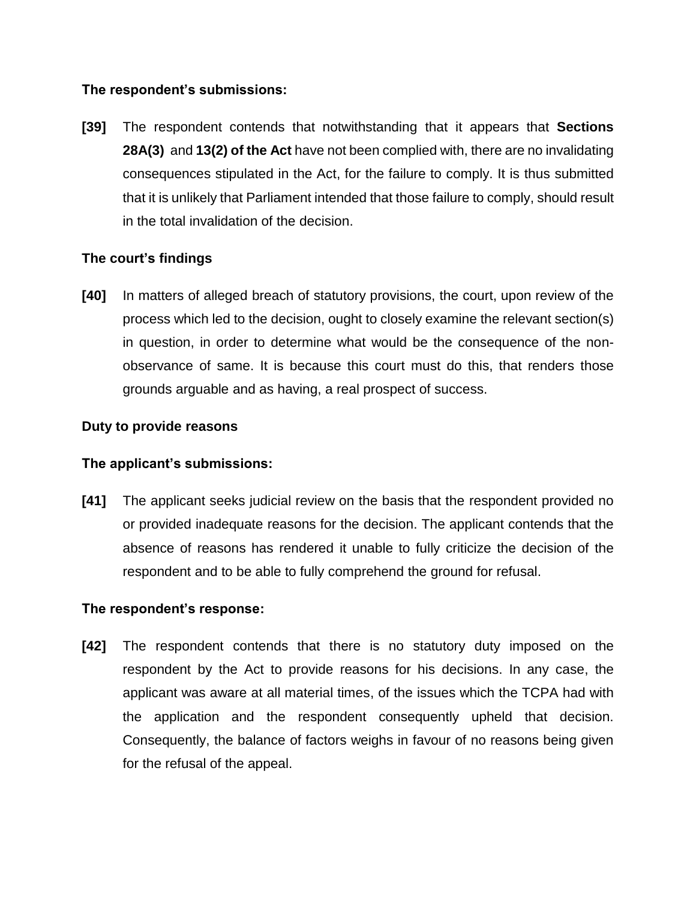## **The respondent's submissions:**

**[39]** The respondent contends that notwithstanding that it appears that **Sections 28A(3)** and **13(2) of the Act** have not been complied with, there are no invalidating consequences stipulated in the Act, for the failure to comply. It is thus submitted that it is unlikely that Parliament intended that those failure to comply, should result in the total invalidation of the decision.

# **The court's findings**

**[40]** In matters of alleged breach of statutory provisions, the court, upon review of the process which led to the decision, ought to closely examine the relevant section(s) in question, in order to determine what would be the consequence of the nonobservance of same. It is because this court must do this, that renders those grounds arguable and as having, a real prospect of success.

# **Duty to provide reasons**

## **The applicant's submissions:**

**[41]** The applicant seeks judicial review on the basis that the respondent provided no or provided inadequate reasons for the decision. The applicant contends that the absence of reasons has rendered it unable to fully criticize the decision of the respondent and to be able to fully comprehend the ground for refusal.

## **The respondent's response:**

**[42]** The respondent contends that there is no statutory duty imposed on the respondent by the Act to provide reasons for his decisions. In any case, the applicant was aware at all material times, of the issues which the TCPA had with the application and the respondent consequently upheld that decision. Consequently, the balance of factors weighs in favour of no reasons being given for the refusal of the appeal.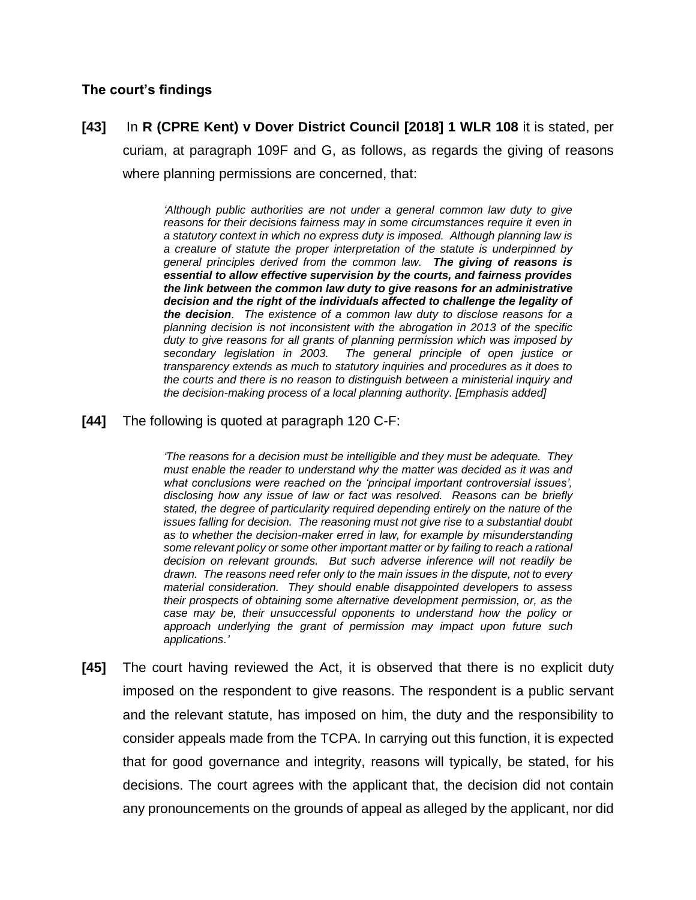#### **The court's findings**

```
[43] In R (CPRE Kent) v Dover District Council [2018] 1 WLR 108 it is stated, per 
curiam, at paragraph 109F and G, as follows, as regards the giving of reasons
where planning permissions are concerned, that:
```
*'Although public authorities are not under a general common law duty to give reasons for their decisions fairness may in some circumstances require it even in a statutory context in which no express duty is imposed. Although planning law is a creature of statute the proper interpretation of the statute is underpinned by general principles derived from the common law. The giving of reasons is essential to allow effective supervision by the courts, and fairness provides the link between the common law duty to give reasons for an administrative decision and the right of the individuals affected to challenge the legality of the decision. The existence of a common law duty to disclose reasons for a planning decision is not inconsistent with the abrogation in 2013 of the specific duty to give reasons for all grants of planning permission which was imposed by secondary legislation in 2003. The general principle of open justice or transparency extends as much to statutory inquiries and procedures as it does to the courts and there is no reason to distinguish between a ministerial inquiry and the decision-making process of a local planning authority. [Emphasis added]*

#### **[44]** The following is quoted at paragraph 120 C-F:

*'The reasons for a decision must be intelligible and they must be adequate. They must enable the reader to understand why the matter was decided as it was and what conclusions were reached on the 'principal important controversial issues', disclosing how any issue of law or fact was resolved. Reasons can be briefly stated, the degree of particularity required depending entirely on the nature of the issues falling for decision. The reasoning must not give rise to a substantial doubt*  as to whether the decision-maker erred in law, for example by misunderstanding *some relevant policy or some other important matter or by failing to reach a rational decision on relevant grounds. But such adverse inference will not readily be drawn. The reasons need refer only to the main issues in the dispute, not to every material consideration. They should enable disappointed developers to assess their prospects of obtaining some alternative development permission, or, as the case may be, their unsuccessful opponents to understand how the policy or approach underlying the grant of permission may impact upon future such applications.'*

**[45]** The court having reviewed the Act, it is observed that there is no explicit duty imposed on the respondent to give reasons. The respondent is a public servant and the relevant statute, has imposed on him, the duty and the responsibility to consider appeals made from the TCPA. In carrying out this function, it is expected that for good governance and integrity, reasons will typically, be stated, for his decisions. The court agrees with the applicant that, the decision did not contain any pronouncements on the grounds of appeal as alleged by the applicant, nor did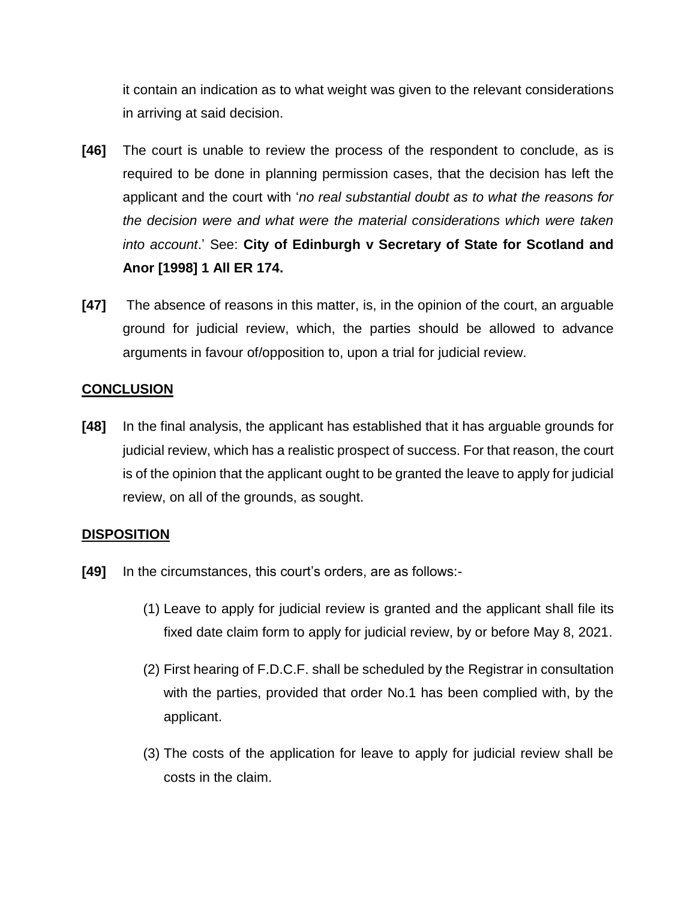it contain an indication as to what weight was given to the relevant considerations in arriving at said decision.

- **[46]** The court is unable to review the process of the respondent to conclude, as is required to be done in planning permission cases, that the decision has left the applicant and the court with '*no real substantial doubt as to what the reasons for the decision were and what were the material considerations which were taken into account*.' See: **City of Edinburgh v Secretary of State for Scotland and Anor [1998] 1 All ER 174.**
- **[47]** The absence of reasons in this matter, is, in the opinion of the court, an arguable ground for judicial review, which, the parties should be allowed to advance arguments in favour of/opposition to, upon a trial for judicial review.

# **CONCLUSION**

**[48]** In the final analysis, the applicant has established that it has arguable grounds for judicial review, which has a realistic prospect of success. For that reason, the court is of the opinion that the applicant ought to be granted the leave to apply for judicial review, on all of the grounds, as sought.

## **DISPOSITION**

- **[49]** In the circumstances, this court's orders, are as follows:-
	- (1) Leave to apply for judicial review is granted and the applicant shall file its fixed date claim form to apply for judicial review, by or before May 8, 2021.
	- (2) First hearing of F.D.C.F. shall be scheduled by the Registrar in consultation with the parties, provided that order No.1 has been complied with, by the applicant.
	- (3) The costs of the application for leave to apply for judicial review shall be costs in the claim.